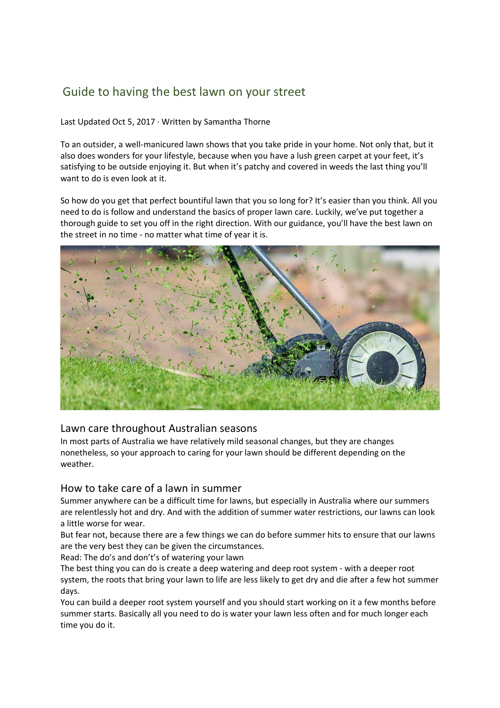# Guide to having the best lawn on your street

Last Updated Oct 5, 2017 · Written by Samantha Thorne

To an outsider, a well-manicured lawn shows that you take pride in your home. Not only that, but it also does wonders for your lifestyle, because when you have a lush green carpet at your feet, it's satisfying to be outside enjoying it. But when it's patchy and covered in weeds the last thing you'll want to do is even look at it.

So how do you get that perfect bountiful lawn that you so long for? It's easier than you think. All you need to do is follow and understand the basics of proper lawn care. Luckily, we've put together a thorough guide to set you off in the right direction. With our guidance, you'll have the best lawn on the street in no time - no matter what time of year it is.



## Lawn care throughout Australian seasons

In most parts of Australia we have relatively mild seasonal changes, but they are changes nonetheless, so your approach to caring for your lawn should be different depending on the weather.

# How to take care of a lawn in summer

Summer anywhere can be a difficult time for lawns, but especially in Australia where our summers are relentlessly hot and dry. And with the addition of summer water restrictions, our lawns can look a little worse for wear.

But fear not, because there are a few things we can do before summer hits to ensure that our lawns are the very best they can be given the circumstances.

Read: The do's and don't's of watering your lawn

The best thing you can do is create a deep watering and deep root system - with a deeper root system, the roots that bring your lawn to life are less likely to get dry and die after a few hot summer days.

You can build a deeper root system yourself and you should start working on it a few months before summer starts. Basically all you need to do is water your lawn less often and for much longer each time you do it.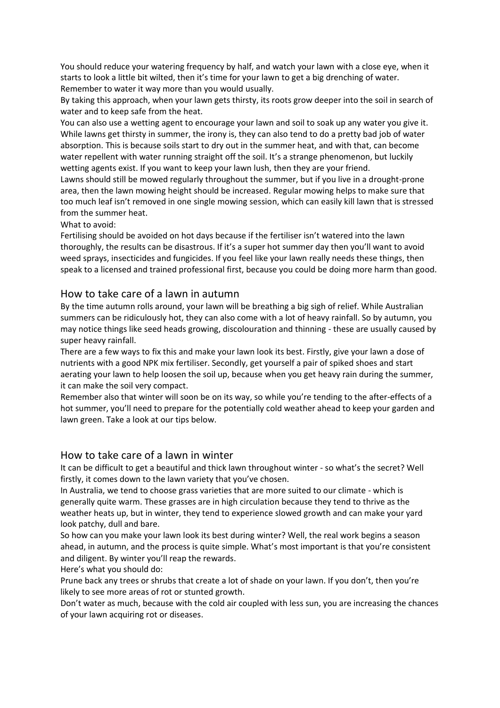You should reduce your watering frequency by half, and watch your lawn with a close eye, when it starts to look a little bit wilted, then it's time for your lawn to get a big drenching of water. Remember to water it way more than you would usually.

By taking this approach, when your lawn gets thirsty, its roots grow deeper into the soil in search of water and to keep safe from the heat.

You can also use a wetting agent to encourage your lawn and soil to soak up any water you give it. While lawns get thirsty in summer, the irony is, they can also tend to do a pretty bad job of water absorption. This is because soils start to dry out in the summer heat, and with that, can become water repellent with water running straight off the soil. It's a strange phenomenon, but luckily wetting agents exist. If you want to keep your lawn lush, then they are your friend.

Lawns should still be mowed regularly throughout the summer, but if you live in a drought-prone area, then the lawn mowing height should be increased. Regular mowing helps to make sure that too much leaf isn't removed in one single mowing session, which can easily kill lawn that is stressed from the summer heat.

What to avoid:

Fertilising should be avoided on hot days because if the fertiliser isn't watered into the lawn thoroughly, the results can be disastrous. If it's a super hot summer day then you'll want to avoid weed sprays, insecticides and fungicides. If you feel like your lawn really needs these things, then speak to a licensed and trained professional first, because you could be doing more harm than good.

## How to take care of a lawn in autumn

By the time autumn rolls around, your lawn will be breathing a big sigh of relief. While Australian summers can be ridiculously hot, they can also come with a lot of heavy rainfall. So by autumn, you may notice things like seed heads growing, discolouration and thinning - these are usually caused by super heavy rainfall.

There are a few ways to fix this and make your lawn look its best. Firstly, give your lawn a dose of nutrients with a good NPK mix fertiliser. Secondly, get yourself a pair of spiked shoes and start aerating your lawn to help loosen the soil up, because when you get heavy rain during the summer, it can make the soil very compact.

Remember also that winter will soon be on its way, so while you're tending to the after-effects of a hot summer, you'll need to prepare for the potentially cold weather ahead to keep your garden and lawn green. Take a look at our tips below.

## How to take care of a lawn in winter

It can be difficult to get a beautiful and thick lawn throughout winter - so what's the secret? Well firstly, it comes down to the lawn variety that you've chosen.

In Australia, we tend to choose grass varieties that are more suited to our climate - which is generally quite warm. These grasses are in high circulation because they tend to thrive as the weather heats up, but in winter, they tend to experience slowed growth and can make your yard look patchy, dull and bare.

So how can you make your lawn look its best during winter? Well, the real work begins a season ahead, in autumn, and the process is quite simple. What's most important is that you're consistent and diligent. By winter you'll reap the rewards.

Here's what you should do:

Prune back any trees or shrubs that create a lot of shade on your lawn. If you don't, then you're likely to see more areas of rot or stunted growth.

Don't water as much, because with the cold air coupled with less sun, you are increasing the chances of your lawn acquiring rot or diseases.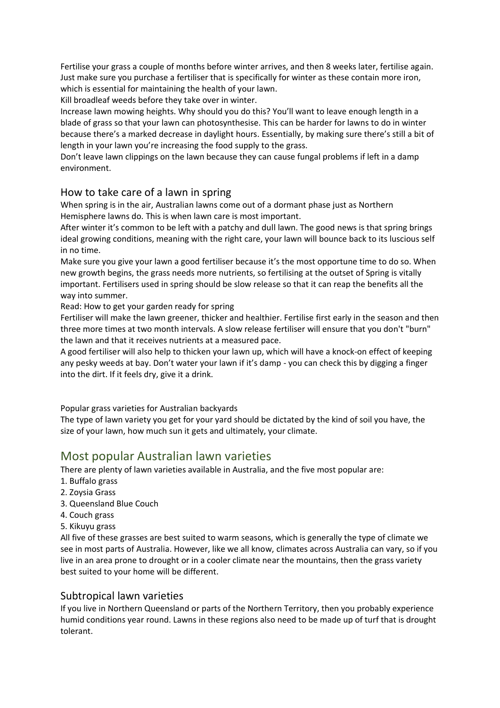Fertilise your grass a couple of months before winter arrives, and then 8 weeks later, fertilise again. Just make sure you purchase a fertiliser that is specifically for winter as these contain more iron, which is essential for maintaining the health of your lawn.

Kill broadleaf weeds before they take over in winter.

Increase lawn mowing heights. Why should you do this? You'll want to leave enough length in a blade of grass so that your lawn can photosynthesise. This can be harder for lawns to do in winter because there's a marked decrease in daylight hours. Essentially, by making sure there's still a bit of length in your lawn you're increasing the food supply to the grass.

Don't leave lawn clippings on the lawn because they can cause fungal problems if left in a damp environment.

## How to take care of a lawn in spring

When spring is in the air, Australian lawns come out of a dormant phase just as Northern Hemisphere lawns do. This is when lawn care is most important.

After winter it's common to be left with a patchy and dull lawn. The good news is that spring brings ideal growing conditions, meaning with the right care, your lawn will bounce back to its luscious self in no time.

Make sure you give your lawn a good fertiliser because it's the most opportune time to do so. When new growth begins, the grass needs more nutrients, so fertilising at the outset of Spring is vitally important. Fertilisers used in spring should be slow release so that it can reap the benefits all the way into summer.

Read: How to get your garden ready for spring

Fertiliser will make the lawn greener, thicker and healthier. Fertilise first early in the season and then three more times at two month intervals. A slow release fertiliser will ensure that you don't "burn" the lawn and that it receives nutrients at a measured pace.

A good fertiliser will also help to thicken your lawn up, which will have a knock-on effect of keeping any pesky weeds at bay. Don't water your lawn if it's damp - you can check this by digging a finger into the dirt. If it feels dry, give it a drink.

Popular grass varieties for Australian backyards

The type of lawn variety you get for your yard should be dictated by the kind of soil you have, the size of your lawn, how much sun it gets and ultimately, your climate.

# Most popular Australian lawn varieties

There are plenty of lawn varieties available in Australia, and the five most popular are:

- 1. Buffalo grass
- 2. Zoysia Grass
- 3. Queensland Blue Couch
- 4. Couch grass
- 5. Kikuyu grass

All five of these grasses are best suited to warm seasons, which is generally the type of climate we see in most parts of Australia. However, like we all know, climates across Australia can vary, so if you live in an area prone to drought or in a cooler climate near the mountains, then the grass variety best suited to your home will be different.

## Subtropical lawn varieties

If you live in Northern Queensland or parts of the Northern Territory, then you probably experience humid conditions year round. Lawns in these regions also need to be made up of turf that is drought tolerant.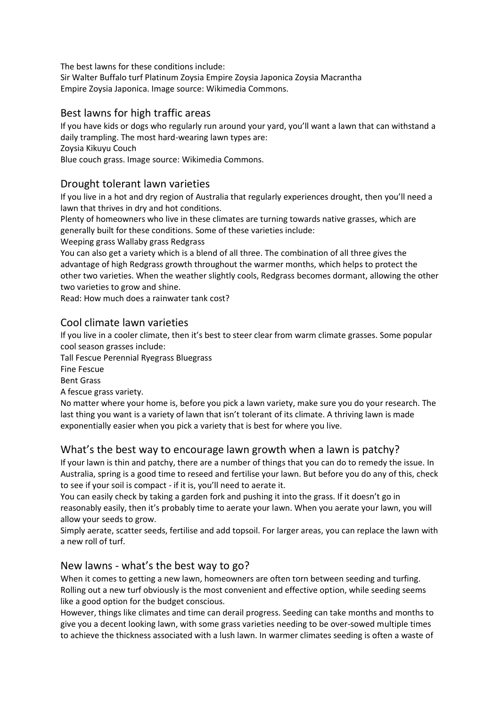The best lawns for these conditions include: Sir Walter Buffalo turf Platinum Zoysia Empire Zoysia Japonica Zoysia Macrantha Empire Zoysia Japonica. Image source: Wikimedia Commons.

# Best lawns for high traffic areas

If you have kids or dogs who regularly run around your yard, you'll want a lawn that can withstand a daily trampling. The most hard-wearing lawn types are: Zoysia Kikuyu Couch

Blue couch grass. Image source: Wikimedia Commons.

# Drought tolerant lawn varieties

If you live in a hot and dry region of Australia that regularly experiences drought, then you'll need a lawn that thrives in dry and hot conditions.

Plenty of homeowners who live in these climates are turning towards native grasses, which are generally built for these conditions. Some of these varieties include:

Weeping grass Wallaby grass Redgrass

You can also get a variety which is a blend of all three. The combination of all three gives the advantage of high Redgrass growth throughout the warmer months, which helps to protect the other two varieties. When the weather slightly cools, Redgrass becomes dormant, allowing the other two varieties to grow and shine.

Read: How much does a rainwater tank cost?

# Cool climate lawn varieties

If you live in a cooler climate, then it's best to steer clear from warm climate grasses. Some popular cool season grasses include:

Tall Fescue Perennial Ryegrass Bluegrass

Fine Fescue

Bent Grass

A fescue grass variety.

No matter where your home is, before you pick a lawn variety, make sure you do your research. The last thing you want is a variety of lawn that isn't tolerant of its climate. A thriving lawn is made exponentially easier when you pick a variety that is best for where you live.

# What's the best way to encourage lawn growth when a lawn is patchy?

If your lawn is thin and patchy, there are a number of things that you can do to remedy the issue. In Australia, spring is a good time to reseed and fertilise your lawn. But before you do any of this, check to see if your soil is compact - if it is, you'll need to aerate it.

You can easily check by taking a garden fork and pushing it into the grass. If it doesn't go in reasonably easily, then it's probably time to aerate your lawn. When you aerate your lawn, you will allow your seeds to grow.

Simply aerate, scatter seeds, fertilise and add topsoil. For larger areas, you can replace the lawn with a new roll of turf.

# New lawns - what's the best way to go?

When it comes to getting a new lawn, homeowners are often torn between seeding and turfing. Rolling out a new turf obviously is the most convenient and effective option, while seeding seems like a good option for the budget conscious.

However, things like climates and time can derail progress. Seeding can take months and months to give you a decent looking lawn, with some grass varieties needing to be over-sowed multiple times to achieve the thickness associated with a lush lawn. In warmer climates seeding is often a waste of